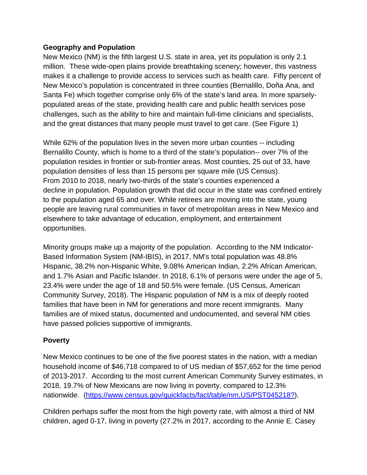#### **Geography and Population**

New Mexico (NM) is the fifth largest U.S. state in area, yet its population is only 2.1 million. These wide-open plains provide breathtaking scenery; however, this vastness makes it a challenge to provide access to services such as health care. Fifty percent of New Mexico's population is concentrated in three counties (Bernalillo, Doña Ana, and Santa Fe) which together comprise only 6% of the state's land area. In more sparselypopulated areas of the state, providing health care and public health services pose challenges, such as the ability to hire and maintain full-time clinicians and specialists, and the great distances that many people must travel to get care. (See Figure 1)

While 62% of the population lives in the seven more urban counties -- including Bernalillo County, which is home to a third of the state's population-- over 7% of the population resides in frontier or sub-frontier areas. Most counties, 25 out of 33, have population densities of less than 15 persons per square mile (US Census). From 2010 to 2018, nearly two-thirds of the state's counties experienced a decline in population. Population growth that did occur in the state was confined entirely to the population aged 65 and over. While retirees are moving into the state, young people are leaving rural communities in favor of metropolitan areas in New Mexico and elsewhere to take advantage of education, employment, and entertainment opportunities.

Minority groups make up a majority of the population. According to the NM Indicator-Based Information System (NM-IBIS), in 2017, NM's total population was 48.8% Hispanic, 38.2% non-Hispanic White, 9.08% American Indian, 2.2% African American, and 1.7% Asian and Pacific Islander. In 2018, 6.1% of persons were under the age of 5, 23.4% were under the age of 18 and 50.5% were female. (US Census, American Community Survey, 2018). The Hispanic population of NM is a mix of deeply rooted families that have been in NM for generations and more recent immigrants. Many families are of mixed status, documented and undocumented, and several NM cities have passed policies supportive of immigrants.

## **Poverty**

New Mexico continues to be one of the five poorest states in the nation, with a median household income of \$46,718 compared to of US median of \$57,652 for the time period of 2013-2017. According to the most current American Community Survey estimates, in 2018, 19.7% of New Mexicans are now living in poverty, compared to 12.3% nationwide. [\(https://www.census.gov/quickfacts/fact/table/nm,US/PST045218?\)](https://www.census.gov/quickfacts/fact/table/nm,US/PST045218?).

Children perhaps suffer the most from the high poverty rate, with almost a third of NM children, aged 0-17, living in poverty (27.2% in 2017, according to the Annie E. Casey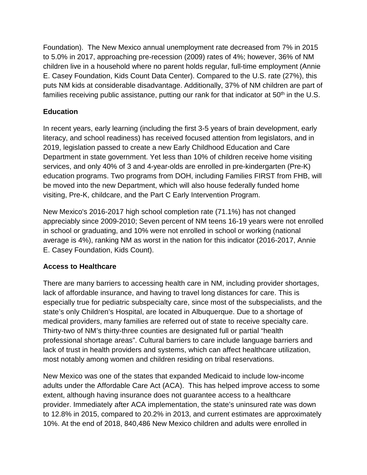Foundation). The New Mexico annual unemployment rate decreased from 7% in 2015 to 5.0% in 2017, approaching pre-recession (2009) rates of 4%; however, 36% of NM children live in a household where no parent holds regular, full-time employment (Annie E. Casey Foundation, Kids Count Data Center). Compared to the U.S. rate (27%), this puts NM kids at considerable disadvantage. Additionally, 37% of NM children are part of families receiving public assistance, putting our rank for that indicator at  $50<sup>th</sup>$  in the U.S.

# **Education**

In recent years, early learning (including the first 3-5 years of brain development, early literacy, and school readiness) has received focused attention from legislators, and in 2019, legislation passed to create a new Early Childhood Education and Care Department in state government. Yet less than 10% of children receive home visiting services, and only 40% of 3 and 4-year-olds are enrolled in pre-kindergarten (Pre-K) education programs. Two programs from DOH, including Families FIRST from FHB, will be moved into the new Department, which will also house federally funded home visiting, Pre-K, childcare, and the Part C Early Intervention Program.

New Mexico's 2016-2017 high school completion rate (71.1%) has not changed appreciably since 2009-2010; Seven percent of NM teens 16-19 years were not enrolled in school or graduating, and 10% were not enrolled in school or working (national average is 4%), ranking NM as worst in the nation for this indicator (2016-2017, Annie E. Casey Foundation, Kids Count).

# **Access to Healthcare**

There are many barriers to accessing health care in NM, including provider shortages, lack of affordable insurance, and having to travel long distances for care. This is especially true for pediatric subspecialty care, since most of the subspecialists, and the state's only Children's Hospital, are located in Albuquerque. Due to a shortage of medical providers, many families are referred out of state to receive specialty care. Thirty-two of NM's thirty-three counties are designated full or partial "health professional shortage areas". Cultural barriers to care include language barriers and lack of trust in health providers and systems, which can affect healthcare utilization, most notably among women and children residing on tribal reservations.

New Mexico was one of the states that expanded Medicaid to include low-income adults under the Affordable Care Act (ACA). This has helped improve access to some extent, although having insurance does not guarantee access to a healthcare provider. Immediately after ACA implementation, the state's uninsured rate was down to 12.8% in 2015, compared to 20.2% in 2013, and current estimates are approximately 10%. At the end of 2018, 840,486 New Mexico children and adults were enrolled in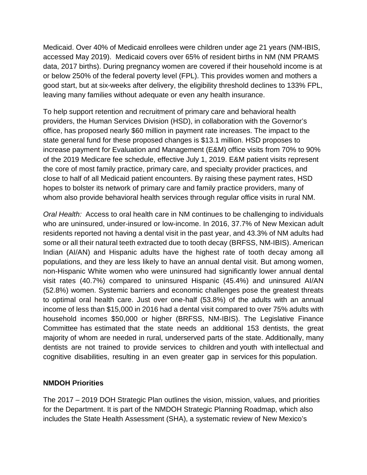Medicaid. Over 40% of Medicaid enrollees were children under age 21 years (NM-IBIS, accessed May 2019). Medicaid covers over 65% of resident births in NM (NM PRAMS data, 2017 births). During pregnancy women are covered if their household income is at or below 250% of the federal poverty level (FPL). This provides women and mothers a good start, but at six-weeks after delivery, the eligibility threshold declines to 133% FPL, leaving many families without adequate or even any health insurance.

To help support retention and recruitment of primary care and behavioral health providers, the Human Services Division (HSD), in collaboration with the Governor's office, has proposed nearly \$60 million in payment rate increases. The impact to the state general fund for these proposed changes is \$13.1 million. HSD proposes to increase payment for Evaluation and Management (E&M) office visits from 70% to 90% of the 2019 Medicare fee schedule, effective July 1, 2019. E&M patient visits represent the core of most family practice, primary care, and specialty provider practices, and close to half of all Medicaid patient encounters. By raising these payment rates, HSD hopes to bolster its network of primary care and family practice providers, many of whom also provide behavioral health services through regular office visits in rural NM.

*Oral Health:* Access to oral health care in NM continues to be challenging to individuals who are uninsured, under-insured or low-income. In 2016, 37.7% of New Mexican adult residents reported not having a dental visit in the past year, and 43.3% of NM adults had some or all their natural teeth extracted due to tooth decay (BRFSS, NM-IBIS). American Indian (AI/AN) and Hispanic adults have the highest rate of tooth decay among all populations, and they are less likely to have an annual dental visit. But among women, non-Hispanic White women who were uninsured had significantly lower annual dental visit rates (40.7%) compared to uninsured Hispanic (45.4%) and uninsured AI/AN (52.8%) women. Systemic barriers and economic challenges pose the greatest threats to optimal oral health care. Just over one-half (53.8%) of the adults with an annual income of less than \$15,000 in 2016 had a dental visit compared to over 75% adults with household incomes \$50,000 or higher (BRFSS, NM-IBIS). The Legislative Finance Committee has estimated that the state needs an additional 153 dentists, the great majority of whom are needed in rural, underserved parts of the state. Additionally, many dentists are not trained to provide services to children and youth with intellectual and cognitive disabilities, resulting in an even greater gap in services for this population.

#### **NMDOH Priorities**

The 2017 – 2019 DOH Strategic Plan outlines the vision, mission, values, and priorities for the Department. It is part of the NMDOH Strategic Planning Roadmap, which also includes the State Health Assessment (SHA), a systematic review of New Mexico's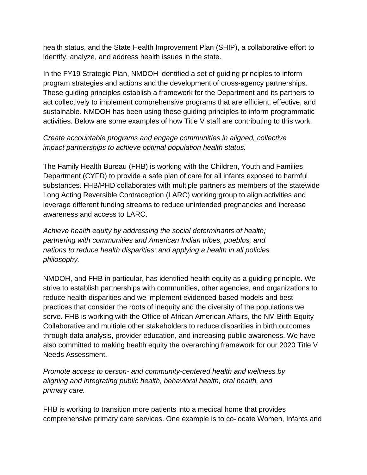health status, and the State Health Improvement Plan (SHIP), a collaborative effort to identify, analyze, and address health issues in the state.

In the FY19 Strategic Plan, NMDOH identified a set of guiding principles to inform program strategies and actions and the development of cross-agency partnerships. These guiding principles establish a framework for the Department and its partners to act collectively to implement comprehensive programs that are efficient, effective, and sustainable. NMDOH has been using these guiding principles to inform programmatic activities. Below are some examples of how Title V staff are contributing to this work.

# *Create accountable programs and engage communities in aligned, collective impact partnerships to achieve optimal population health status.*

The Family Health Bureau (FHB) is working with the Children, Youth and Families Department (CYFD) to provide a safe plan of care for all infants exposed to harmful substances. FHB/PHD collaborates with multiple partners as members of the statewide Long Acting Reversible Contraception (LARC) working group to align activities and leverage different funding streams to reduce unintended pregnancies and increase awareness and access to LARC.

*Achieve health equity by addressing the social determinants of health; partnering with communities and American Indian tribes, pueblos, and nations to reduce health disparities; and applying a health in all policies philosophy.*

NMDOH, and FHB in particular, has identified health equity as a guiding principle. We strive to establish partnerships with communities, other agencies, and organizations to reduce health disparities and we implement evidenced-based models and best practices that consider the roots of inequity and the diversity of the populations we serve. FHB is working with the Office of African American Affairs, the NM Birth Equity Collaborative and multiple other stakeholders to reduce disparities in birth outcomes through data analysis, provider education, and increasing public awareness. We have also committed to making health equity the overarching framework for our 2020 Title V Needs Assessment.

*Promote access to person- and community-centered health and wellness by aligning and integrating public health, behavioral health, oral health, and primary care.*

FHB is working to transition more patients into a medical home that provides comprehensive primary care services. One example is to co-locate Women, Infants and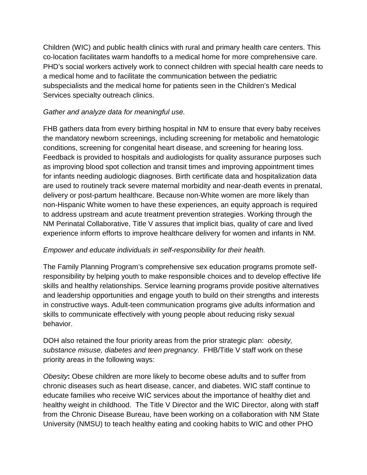Children (WIC) and public health clinics with rural and primary health care centers. This co‐location facilitates warm handoffs to a medical home for more comprehensive care. PHD's social workers actively work to connect children with special health care needs to a medical home and to facilitate the communication between the pediatric subspecialists and the medical home for patients seen in the Children's Medical Services specialty outreach clinics.

# *Gather and analyze data for meaningful use.*

FHB gathers data from every birthing hospital in NM to ensure that every baby receives the mandatory newborn screenings, including screening for metabolic and hematologic conditions, screening for congenital heart disease, and screening for hearing loss. Feedback is provided to hospitals and audiologists for quality assurance purposes such as improving blood spot collection and transit times and improving appointment times for infants needing audiologic diagnoses. Birth certificate data and hospitalization data are used to routinely track severe maternal morbidity and near-death events in prenatal, delivery or post-partum healthcare. Because non-White women are more likely than non-Hispanic White women to have these experiences, an equity approach is required to address upstream and acute treatment prevention strategies. Working through the NM Perinatal Collaborative, Title V assures that implicit bias, quality of care and lived experience inform efforts to improve healthcare delivery for women and infants in NM.

## *Empower and educate individuals in self-responsibility for their health.*

The Family Planning Program's comprehensive sex education programs promote selfresponsibility by helping youth to make responsible choices and to develop effective life skills and healthy relationships. Service learning programs provide positive alternatives and leadership opportunities and engage youth to build on their strengths and interests in constructive ways. Adult-teen communication programs give adults information and skills to communicate effectively with young people about reducing risky sexual behavior.

DOH also retained the four priority areas from the prior strategic plan: *obesity, substance misuse, diabetes and teen pregnancy*. FHB/Title V staff work on these priority areas in the following ways:

*Obesity***:** Obese children are more likely to become obese adults and to suffer from chronic diseases such as heart disease, cancer, and diabetes. WIC staff continue to educate families who receive WIC services about the importance of healthy diet and healthy weight in childhood. The Title V Director and the WIC Director, along with staff from the Chronic Disease Bureau, have been working on a collaboration with NM State University (NMSU) to teach healthy eating and cooking habits to WIC and other PHO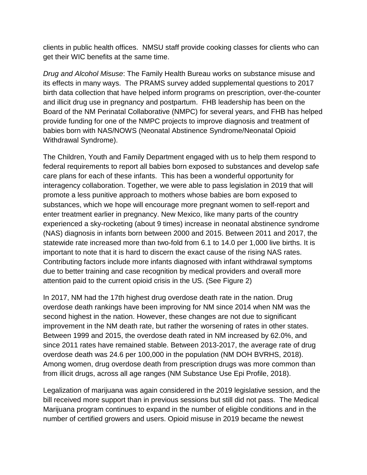clients in public health offices. NMSU staff provide cooking classes for clients who can get their WIC benefits at the same time.

*Drug and Alcohol Misuse*: The Family Health Bureau works on substance misuse and its effects in many ways. The PRAMS survey added supplemental questions to 2017 birth data collection that have helped inform programs on prescription, over-the-counter and illicit drug use in pregnancy and postpartum. FHB leadership has been on the Board of the NM Perinatal Collaborative (NMPC) for several years, and FHB has helped provide funding for one of the NMPC projects to improve diagnosis and treatment of babies born with NAS/NOWS (Neonatal Abstinence Syndrome/Neonatal Opioid Withdrawal Syndrome).

The Children, Youth and Family Department engaged with us to help them respond to federal requirements to report all babies born exposed to substances and develop safe care plans for each of these infants. This has been a wonderful opportunity for interagency collaboration. Together, we were able to pass legislation in 2019 that will promote a less punitive approach to mothers whose babies are born exposed to substances, which we hope will encourage more pregnant women to self-report and enter treatment earlier in pregnancy. New Mexico, like many parts of the country experienced a sky-rocketing (about 9 times) increase in neonatal abstinence syndrome (NAS) diagnosis in infants born between 2000 and 2015. Between 2011 and 2017, the statewide rate increased more than two-fold from 6.1 to 14.0 per 1,000 live births. It is important to note that it is hard to discern the exact cause of the rising NAS rates. Contributing factors include more infants diagnosed with infant withdrawal symptoms due to better training and case recognition by medical providers and overall more attention paid to the current opioid crisis in the US. (See Figure 2)

In 2017, NM had the 17th highest drug overdose death rate in the nation. Drug overdose death rankings have been improving for NM since 2014 when NM was the second highest in the nation. However, these changes are not due to significant improvement in the NM death rate, but rather the worsening of rates in other states. Between 1999 and 2015, the overdose death rated in NM increased by 62.0%, and since 2011 rates have remained stable. Between 2013-2017, the average rate of drug overdose death was 24.6 per 100,000 in the population (NM DOH BVRHS, 2018). Among women, drug overdose death from prescription drugs was more common than from illicit drugs, across all age ranges (NM Substance Use Epi Profile, 2018).

Legalization of marijuana was again considered in the 2019 legislative session, and the bill received more support than in previous sessions but still did not pass. The Medical Marijuana program continues to expand in the number of eligible conditions and in the number of certified growers and users. Opioid misuse in 2019 became the newest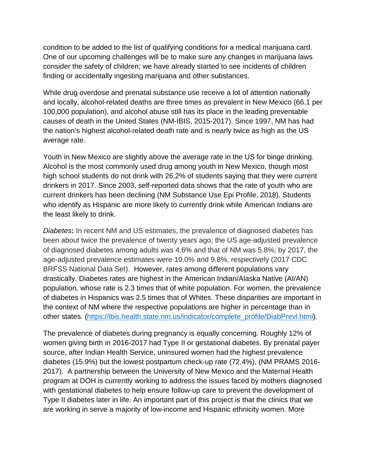condition to be added to the list of qualifying conditions for a medical marijuana card. One of our upcoming challenges will be to make sure any changes in marijuana laws consider the safety of children; we have already started to see incidents of children finding or accidentally ingesting marijuana and other substances.

While drug overdose and prenatal substance use receive a lot of attention nationally and locally, alcohol-related deaths are three times as prevalent in New Mexico (66.1 per 100,000 population), and alcohol abuse still has its place in the leading preventable causes of death in the United States (NM-IBIS, 2015-2017). Since 1997, NM has had the nation's highest alcohol-related death rate and is nearly twice as high as the US average rate.

Youth in New Mexico are slightly above the average rate in the US for binge drinking. Alcohol is the most commonly used drug among youth in New Mexico, though most high school students do not drink with 26.2% of students saying that they were current drinkers in 2017. Since 2003, self-reported data shows that the rate of youth who are current drinkers has been declining (NM Substance Use Epi Profile, 2018). Students who identify as Hispanic are more likely to currently drink while American Indians are the least likely to drink.

*Diabetes***:** In recent NM and US estimates, the prevalence of diagnosed diabetes has been about twice the prevalence of twenty years ago; the US age-adjusted prevalence of diagnosed diabetes among adults was 4.6% and that of NM was 5.8%; by 2017, the age-adjusted prevalence estimates were 10.0% and 9.8%, respectively (2017 CDC BRFSS National Data Set). However, rates among different populations vary drastically. Diabetes rates are highest in the American Indian/Alaska Native (AI/AN) population, whose rate is 2.3 times that of white population. For women, the prevalence of diabetes in Hispanics was 2.5 times that of Whites. These disparities are important in the context of NM where the respective populations are higher in percentage than in other states. [\(https://ibis.health.state.nm.us/indicator/complete\\_profile/DiabPrevl.html\)](https://ibis.health.state.nm.us/indicator/complete_profile/DiabPrevl.html).

The prevalence of diabetes during pregnancy is equally concerning. Roughly 12% of women giving birth in 2016-2017 had Type II or gestational diabetes. By prenatal payer source, after Indian Health Service, uninsured women had the highest prevalence diabetes (15.9%) but the lowest postpartum check-up rate (72.4%), (NM PRAMS 2016- 2017). A partnership between the University of New Mexico and the Maternal Health program at DOH is currently working to address the issues faced by mothers diagnosed with gestational diabetes to help ensure follow-up care to prevent the development of Type II diabetes later in life. An important part of this project is that the clinics that we are working in serve a majority of low-income and Hispanic ethnicity women. More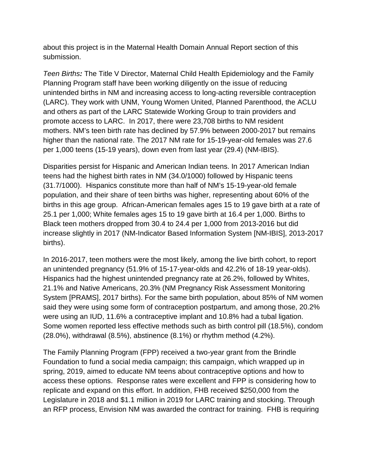about this project is in the Maternal Health Domain Annual Report section of this submission.

*Teen Births:* The Title V Director, Maternal Child Health Epidemiology and the Family Planning Program staff have been working diligently on the issue of reducing unintended births in NM and increasing access to long-acting reversible contraception (LARC). They work with UNM, Young Women United, Planned Parenthood, the ACLU and others as part of the LARC Statewide Working Group to train providers and promote access to LARC. In 2017, there were 23,708 births to NM resident mothers. NM's teen birth rate has declined by 57.9% between 2000-2017 but remains higher than the national rate. The 2017 NM rate for 15-19-year-old females was 27.6 per 1,000 teens (15-19 years), down even from last year (29.4) (NM-IBIS).

Disparities persist for Hispanic and American Indian teens. In 2017 American Indian teens had the highest birth rates in NM (34.0/1000) followed by Hispanic teens (31.7/1000). Hispanics constitute more than half of NM's 15-19-year-old female population, and their share of teen births was higher, representing about 60% of the births in this age group. African-American females ages 15 to 19 gave birth at a rate of 25.1 per 1,000; White females ages 15 to 19 gave birth at 16.4 per 1,000. Births to Black teen mothers dropped from 30.4 to 24.4 per 1,000 from 2013-2016 but did increase slightly in 2017 (NM-Indicator Based Information System [NM-IBIS], 2013-2017 births).

In 2016-2017, teen mothers were the most likely, among the live birth cohort, to report an unintended pregnancy (51.9% of 15-17-year-olds and 42.2% of 18-19 year-olds). Hispanics had the highest unintended pregnancy rate at 26.2%, followed by Whites, 21.1% and Native Americans, 20.3% (NM Pregnancy Risk Assessment Monitoring System [PRAMS], 2017 births). For the same birth population, about 85% of NM women said they were using some form of contraception postpartum, and among those, 20.2% were using an IUD, 11.6% a contraceptive implant and 10.8% had a tubal ligation. Some women reported less effective methods such as birth control pill (18.5%), condom (28.0%), withdrawal (8.5%), abstinence (8.1%) or rhythm method (4.2%).

The Family Planning Program (FPP) received a two-year grant from the Brindle Foundation to fund a social media campaign; this campaign, which wrapped up in spring, 2019, aimed to educate NM teens about contraceptive options and how to access these options. Response rates were excellent and FPP is considering how to replicate and expand on this effort. In addition, FHB received \$250,000 from the Legislature in 2018 and \$1.1 million in 2019 for LARC training and stocking. Through an RFP process, Envision NM was awarded the contract for training. FHB is requiring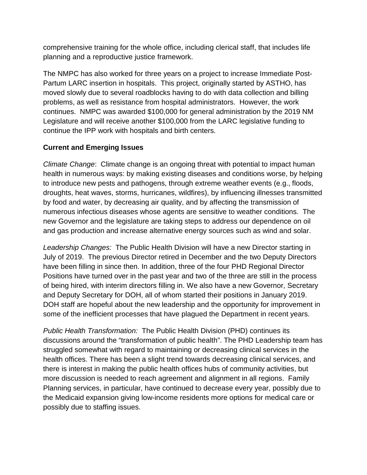comprehensive training for the whole office, including clerical staff, that includes life planning and a reproductive justice framework.

The NMPC has also worked for three years on a project to increase Immediate Post-Partum LARC insertion in hospitals. This project, originally started by ASTHO, has moved slowly due to several roadblocks having to do with data collection and billing problems, as well as resistance from hospital administrators. However, the work continues. NMPC was awarded \$100,000 for general administration by the 2019 NM Legislature and will receive another \$100,000 from the LARC legislative funding to continue the IPP work with hospitals and birth centers.

# **Current and Emerging Issues**

*Climate Change*: Climate change is an ongoing threat with potential to impact human health in numerous ways: by making existing diseases and conditions worse, by helping to introduce new pests and pathogens, through extreme weather events (e.g., floods, droughts, heat waves, storms, hurricanes, wildfires), by influencing illnesses transmitted by food and water, by decreasing air quality, and by affecting the transmission of numerous infectious diseases whose agents are sensitive to weather conditions. The new Governor and the legislature are taking steps to address our dependence on oil and gas production and increase alternative energy sources such as wind and solar.

*Leadership Changes:* The Public Health Division will have a new Director starting in July of 2019. The previous Director retired in December and the two Deputy Directors have been filling in since then. In addition, three of the four PHD Regional Director Positions have turned over in the past year and two of the three are still in the process of being hired, with interim directors filling in. We also have a new Governor, Secretary and Deputy Secretary for DOH, all of whom started their positions in January 2019. DOH staff are hopeful about the new leadership and the opportunity for improvement in some of the inefficient processes that have plagued the Department in recent years.

*Public Health Transformation:* The Public Health Division (PHD) continues its discussions around the "transformation of public health". The PHD Leadership team has struggled somewhat with regard to maintaining or decreasing clinical services in the health offices. There has been a slight trend towards decreasing clinical services, and there is interest in making the public health offices hubs of community activities, but more discussion is needed to reach agreement and alignment in all regions. Family Planning services, in particular, have continued to decrease every year, possibly due to the Medicaid expansion giving low-income residents more options for medical care or possibly due to staffing issues.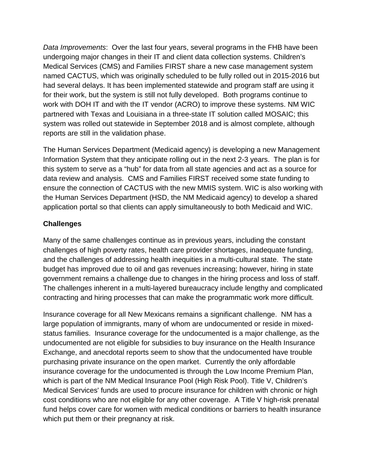*Data Improvements*: Over the last four years, several programs in the FHB have been undergoing major changes in their IT and client data collection systems. Children's Medical Services (CMS) and Families FIRST share a new case management system named CACTUS, which was originally scheduled to be fully rolled out in 2015-2016 but had several delays. It has been implemented statewide and program staff are using it for their work, but the system is still not fully developed. Both programs continue to work with DOH IT and with the IT vendor (ACRO) to improve these systems. NM WIC partnered with Texas and Louisiana in a three-state IT solution called MOSAIC; this system was rolled out statewide in September 2018 and is almost complete, although reports are still in the validation phase.

The Human Services Department (Medicaid agency) is developing a new Management Information System that they anticipate rolling out in the next 2-3 years. The plan is for this system to serve as a "hub" for data from all state agencies and act as a source for data review and analysis. CMS and Families FIRST received some state funding to ensure the connection of CACTUS with the new MMIS system. WIC is also working with the Human Services Department (HSD, the NM Medicaid agency) to develop a shared application portal so that clients can apply simultaneously to both Medicaid and WIC.

## **Challenges**

Many of the same challenges continue as in previous years, including the constant challenges of high poverty rates, health care provider shortages, inadequate funding, and the challenges of addressing health inequities in a multi-cultural state. The state budget has improved due to oil and gas revenues increasing; however, hiring in state government remains a challenge due to changes in the hiring process and loss of staff. The challenges inherent in a multi-layered bureaucracy include lengthy and complicated contracting and hiring processes that can make the programmatic work more difficult.

Insurance coverage for all New Mexicans remains a significant challenge. NM has a large population of immigrants, many of whom are undocumented or reside in mixedstatus families. Insurance coverage for the undocumented is a major challenge, as the undocumented are not eligible for subsidies to buy insurance on the Health Insurance Exchange, and anecdotal reports seem to show that the undocumented have trouble purchasing private insurance on the open market. Currently the only affordable insurance coverage for the undocumented is through the Low Income Premium Plan, which is part of the NM Medical Insurance Pool (High Risk Pool). Title V, Children's Medical Services' funds are used to procure insurance for children with chronic or high cost conditions who are not eligible for any other coverage. A Title V high-risk prenatal fund helps cover care for women with medical conditions or barriers to health insurance which put them or their pregnancy at risk.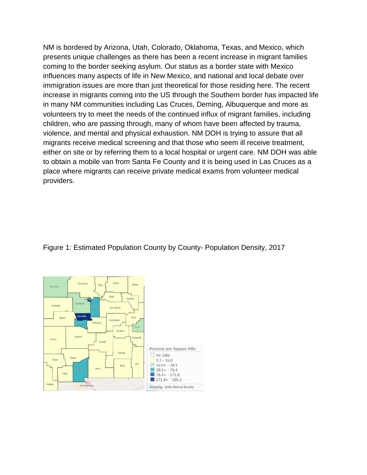NM is bordered by Arizona, Utah, Colorado, Oklahoma, Texas, and Mexico, which presents unique challenges as there has been a recent increase in migrant families coming to the border seeking asylum. Our status as a border state with Mexico influences many aspects of life in New Mexico, and national and local debate over immigration issues are more than just theoretical for those residing here. The recent increase in migrants coming into the US through the Southern border has impacted life in many NM communities including Las Cruces, Deming, Albuquerque and more as volunteers try to meet the needs of the continued influx of migrant families, including children, who are passing through, many of whom have been affected by trauma, violence, and mental and physical exhaustion. NM DOH is trying to assure that all migrants receive medical screening and that those who seem ill receive treatment, either on site or by referring them to a local hospital or urgent care. NM DOH was able to obtain a mobile van from Santa Fe County and it is being used in Las Cruces as a place where migrants can receive private medical exams from volunteer medical providers.

## Figure 1: Estimated Population County by County- Population Density, 2017